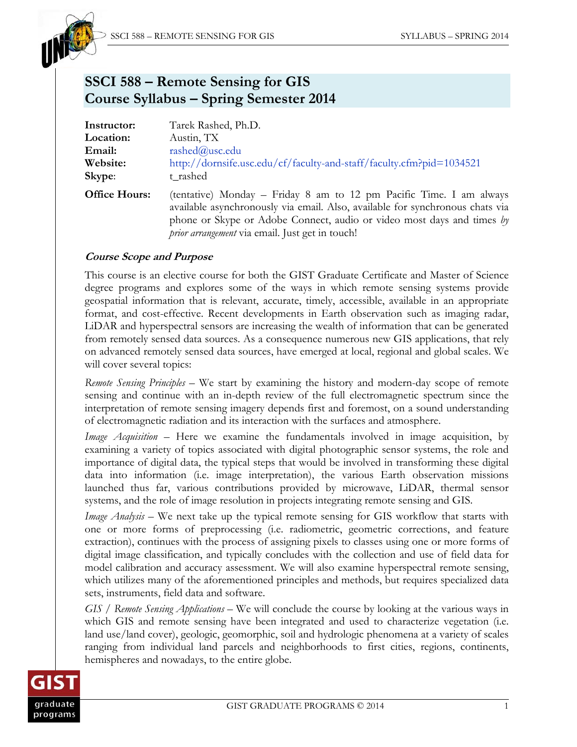

# **SSCI 588 – Remote Sensing for GIS Course Syllabus – Spring Semester 2014**

| Instructor:          | Tarek Rashed, Ph.D.                                                                                                                                                                                                                                                               |  |  |  |
|----------------------|-----------------------------------------------------------------------------------------------------------------------------------------------------------------------------------------------------------------------------------------------------------------------------------|--|--|--|
| Location:            | Austin, TX                                                                                                                                                                                                                                                                        |  |  |  |
| Email:               | rashed@usc.edu                                                                                                                                                                                                                                                                    |  |  |  |
| Website:             | http://dornsife.usc.edu/cf/faculty-and-staff/faculty.cfm?pid=1034521                                                                                                                                                                                                              |  |  |  |
| Skype:               | t rashed                                                                                                                                                                                                                                                                          |  |  |  |
| <b>Office Hours:</b> | (tentative) Monday – Friday 8 am to 12 pm Pacific Time. I am always<br>available asynchronously via email. Also, available for synchronous chats via<br>phone or Skype or Adobe Connect, audio or video most days and times by<br>prior arrangement via email. Just get in touch! |  |  |  |

## **Course Scope and Purpose**

This course is an elective course for both the GIST Graduate Certificate and Master of Science degree programs and explores some of the ways in which remote sensing systems provide geospatial information that is relevant, accurate, timely, accessible, available in an appropriate format, and cost-effective. Recent developments in Earth observation such as imaging radar, LiDAR and hyperspectral sensors are increasing the wealth of information that can be generated from remotely sensed data sources. As a consequence numerous new GIS applications, that rely on advanced remotely sensed data sources, have emerged at local, regional and global scales. We will cover several topics:

*Remote Sensing Principles* – We start by examining the history and modern-day scope of remote sensing and continue with an in-depth review of the full electromagnetic spectrum since the interpretation of remote sensing imagery depends first and foremost, on a sound understanding of electromagnetic radiation and its interaction with the surfaces and atmosphere.

*Image Acquisition* – Here we examine the fundamentals involved in image acquisition, by examining a variety of topics associated with digital photographic sensor systems, the role and importance of digital data, the typical steps that would be involved in transforming these digital data into information (i.e. image interpretation), the various Earth observation missions launched thus far, various contributions provided by microwave, LiDAR, thermal sensor systems, and the role of image resolution in projects integrating remote sensing and GIS.

*Image Analysis –* We next take up the typical remote sensing for GIS workflow that starts with one or more forms of preprocessing (i.e. radiometric, geometric corrections, and feature extraction), continues with the process of assigning pixels to classes using one or more forms of digital image classification, and typically concludes with the collection and use of field data for model calibration and accuracy assessment. We will also examine hyperspectral remote sensing, which utilizes many of the aforementioned principles and methods, but requires specialized data sets, instruments, field data and software.

*GIS / Remote Sensing Applications* – We will conclude the course by looking at the various ways in which GIS and remote sensing have been integrated and used to characterize vegetation (i.e. land use/land cover), geologic, geomorphic, soil and hydrologic phenomena at a variety of scales ranging from individual land parcels and neighborhoods to first cities, regions, continents, hemispheres and nowadays, to the entire globe.

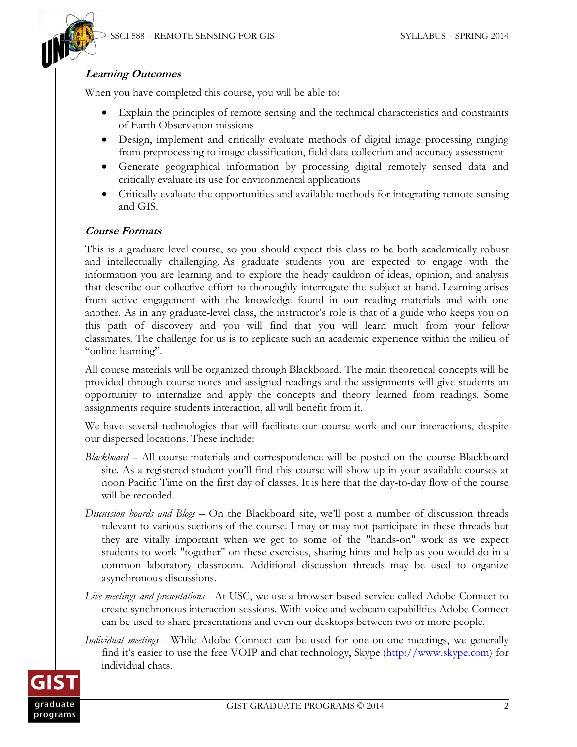

#### **Learning Outcomes**

When you have completed this course, you will be able to:

- Explain the principles of remote sensing and the technical characteristics and constraints of Earth Observation missions
- Design, implement and critically evaluate methods of digital image processing ranging from preprocessing to image classification, field data collection and accuracy assessment
- Generate geographical information by processing digital remotely sensed data and critically evaluate its use for environmental applications
- Critically evaluate the opportunities and available methods for integrating remote sensing and GIS.

### **Course Formats**

This is a graduate level course, so you should expect this class to be both academically robust and intellectually challenging. As graduate students you are expected to engage with the information you are learning and to explore the heady cauldron of ideas, opinion, and analysis that describe our collective effort to thoroughly interrogate the subject at hand. Learning arises from active engagement with the knowledge found in our reading materials and with one another. As in any graduate-level class, the instructor's role is that of a guide who keeps you on this path of discovery and you will find that you will learn much from your fellow classmates. The challenge for us is to replicate such an academic experience within the milieu of "online learning".

All course materials will be organized through Blackboard. The main theoretical concepts will be provided through course notes and assigned readings and the assignments will give students an opportunity to internalize and apply the concepts and theory learned from readings. Some assignments require students interaction, all will benefit from it.

We have several technologies that will facilitate our course work and our interactions, despite our dispersed locations. These include:

- *Blackboard* All course materials and correspondence will be posted on the course Blackboard site. As a registered student you'll find this course will show up in your available courses at noon Pacific Time on the first day of classes. It is here that the day-to-day flow of the course will be recorded.
- *Discussion boards and Blogs*  On the Blackboard site, we'll post a number of discussion threads relevant to various sections of the course. I may or may not participate in these threads but they are vitally important when we get to some of the "hands-on" work as we expect students to work "together" on these exercises, sharing hints and help as you would do in a common laboratory classroom. Additional discussion threads may be used to organize asynchronous discussions.
- *Live meetings and presentations* At USC, we use a browser-based service called Adobe Connect to create synchronous interaction sessions. With voice and webcam capabilities Adobe Connect can be used to share presentations and even our desktops between two or more people.
- *Individual meetings* While Adobe Connect can be used for one-on-one meetings, we generally find it's easier to use the free VOIP and chat technology, Skype (http://www.skype.com) for individual chats.

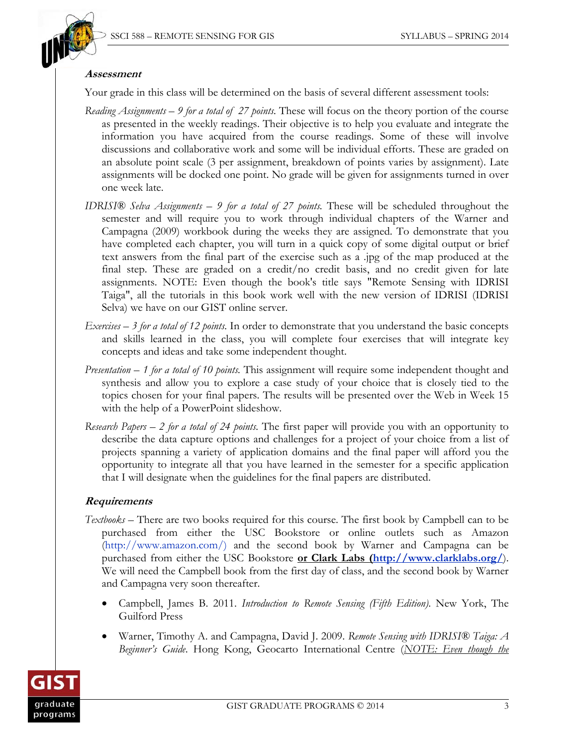

#### **Assessment**

Your grade in this class will be determined on the basis of several different assessment tools:

- *Reading Assignments* – *9 for a total of 27 points.* These will focus on the theory portion of the course as presented in the weekly readings. Their objective is to help you evaluate and integrate the information you have acquired from the course readings. Some of these will involve discussions and collaborative work and some will be individual efforts. These are graded on an absolute point scale (3 per assignment, breakdown of points varies by assignment). Late assignments will be docked one point. No grade will be given for assignments turned in over one week late.
- *IDRISI® Selva Assignments 9 for a total of 27 points.* These will be scheduled throughout the semester and will require you to work through individual chapters of the Warner and Campagna (2009) workbook during the weeks they are assigned. To demonstrate that you have completed each chapter, you will turn in a quick copy of some digital output or brief text answers from the final part of the exercise such as a .jpg of the map produced at the final step. These are graded on a credit/no credit basis, and no credit given for late assignments. NOTE: Even though the book's title says "Remote Sensing with IDRISI Taiga", all the tutorials in this book work well with the new version of IDRISI (IDRISI Selva) we have on our GIST online server.
- *Exercises 3 for a total of 12 points.* In order to demonstrate that you understand the basic concepts and skills learned in the class, you will complete four exercises that will integrate key concepts and ideas and take some independent thought.
- *Presentation 1 for a total of 10 points.* This assignment will require some independent thought and synthesis and allow you to explore a case study of your choice that is closely tied to the topics chosen for your final papers. The results will be presented over the Web in Week 15 with the help of a PowerPoint slideshow.
- *Research Papers 2 for a total of 24 points.* The first paper will provide you with an opportunity to describe the data capture options and challenges for a project of your choice from a list of projects spanning a variety of application domains and the final paper will afford you the opportunity to integrate all that you have learned in the semester for a specific application that I will designate when the guidelines for the final papers are distributed.

## **Requirements**

- *Textbooks* There are two books required for this course. The first book by Campbell can to be purchased from either the USC Bookstore or online outlets such as Amazon (http://www.amazon.com/) and the second book by Warner and Campagna can be purchased from either the USC Bookstore **or Clark Labs (http://www.clarklabs.org/**). We will need the Campbell book from the first day of class, and the second book by Warner and Campagna very soon thereafter.
	- Campbell, James B. 2011. *Introduction to Remote Sensing (Fifth Edition)*. New York, The Guilford Press
	- Warner, Timothy A. and Campagna, David J. 2009. *Remote Sensing with IDRISI® Taiga: A Beginner's Guide*. Hong Kong, Geocarto International Centre (*NOTE: Even though the*

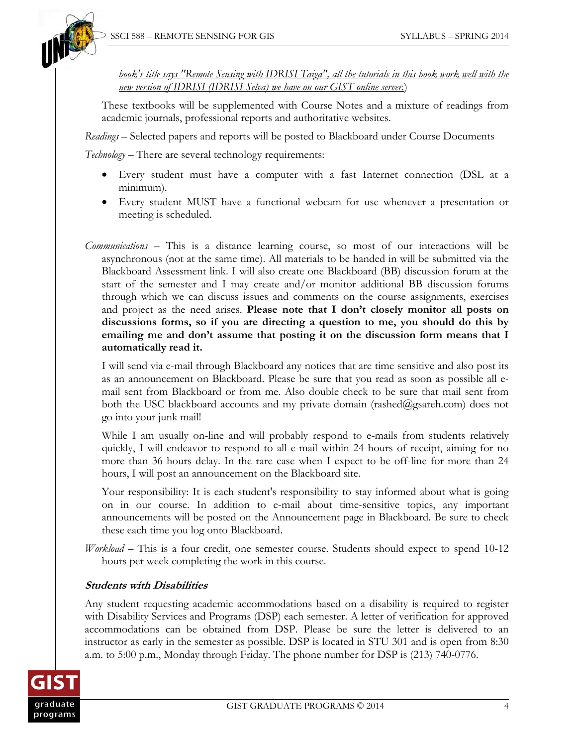

*book's title says "Remote Sensing with IDRISI Taiga", all the tutorials in this book work well with the new version of IDRISI (IDRISI Selva) we have on our GIST online server.*)

 These textbooks will be supplemented with Course Notes and a mixture of readings from academic journals, professional reports and authoritative websites.

*Readings –* Selected papers and reports will be posted to Blackboard under Course Documents

*Technology –* There are several technology requirements:

- Every student must have a computer with a fast Internet connection (DSL at a minimum).
- Every student MUST have a functional webcam for use whenever a presentation or meeting is scheduled.
- *Communications* This is a distance learning course, so most of our interactions will be asynchronous (not at the same time). All materials to be handed in will be submitted via the Blackboard Assessment link. I will also create one Blackboard (BB) discussion forum at the start of the semester and I may create and/or monitor additional BB discussion forums through which we can discuss issues and comments on the course assignments, exercises and project as the need arises. **Please note that I don't closely monitor all posts on discussions forms, so if you are directing a question to me, you should do this by emailing me and don't assume that posting it on the discussion form means that I automatically read it.**

 I will send via e-mail through Blackboard any notices that are time sensitive and also post its as an announcement on Blackboard. Please be sure that you read as soon as possible all email sent from Blackboard or from me. Also double check to be sure that mail sent from both the USC blackboard accounts and my private domain (rashed@gsareh.com) does not go into your junk mail!

 While I am usually on-line and will probably respond to e-mails from students relatively quickly, I will endeavor to respond to all e-mail within 24 hours of receipt, aiming for no more than 36 hours delay. In the rare case when I expect to be off-line for more than 24 hours, I will post an announcement on the Blackboard site.

 Your responsibility: It is each student's responsibility to stay informed about what is going on in our course. In addition to e-mail about time-sensitive topics, any important announcements will be posted on the Announcement page in Blackboard. Be sure to check these each time you log onto Blackboard.

*Workload* – This is a four credit, one semester course. Students should expect to spend 10-12 hours per week completing the work in this course.

## **Students with Disabilities**

Any student requesting academic accommodations based on a disability is required to register with Disability Services and Programs (DSP) each semester. A letter of verification for approved accommodations can be obtained from DSP. Please be sure the letter is delivered to an instructor as early in the semester as possible. DSP is located in STU 301 and is open from 8:30 a.m. to 5:00 p.m., Monday through Friday. The phone number for DSP is (213) 740-0776.

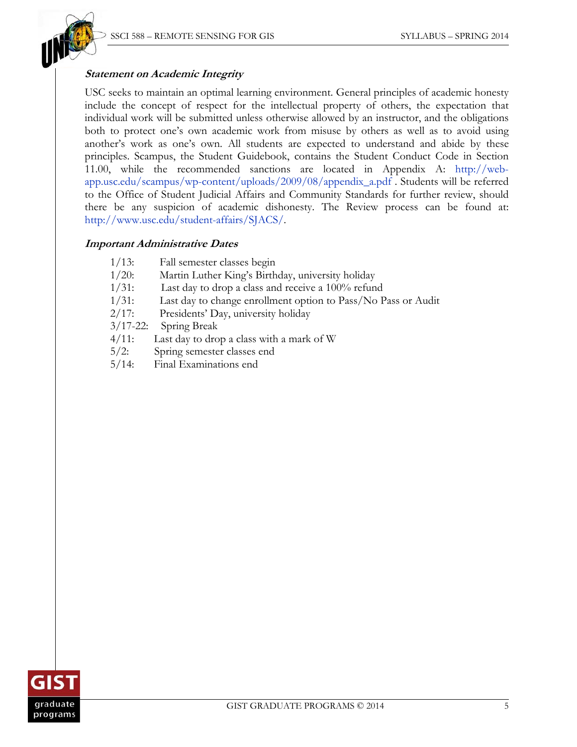

## **Statement on Academic Integrity**

USC seeks to maintain an optimal learning environment. General principles of academic honesty include the concept of respect for the intellectual property of others, the expectation that individual work will be submitted unless otherwise allowed by an instructor, and the obligations both to protect one's own academic work from misuse by others as well as to avoid using another's work as one's own. All students are expected to understand and abide by these principles. Scampus, the Student Guidebook, contains the Student Conduct Code in Section 11.00, while the recommended sanctions are located in Appendix A: http://webapp.usc.edu/scampus/wp-content/uploads/2009/08/appendix\_a.pdf . Students will be referred to the Office of Student Judicial Affairs and Community Standards for further review, should there be any suspicion of academic dishonesty. The Review process can be found at: http://www.usc.edu/student-affairs/SJACS/.

#### **Important Administrative Dates**

- 1/13: Fall semester classes begin
- 1/20: Martin Luther King's Birthday, university holiday
- 1/31: Last day to drop a class and receive a 100% refund
- 1/31: Last day to change enrollment option to Pass/No Pass or Audit
- 2/17: Presidents' Day, university holiday

3/17-22: Spring Break

- 4/11: Last day to drop a class with a mark of W
- 5/2: Spring semester classes end
- 5/14: Final Examinations end